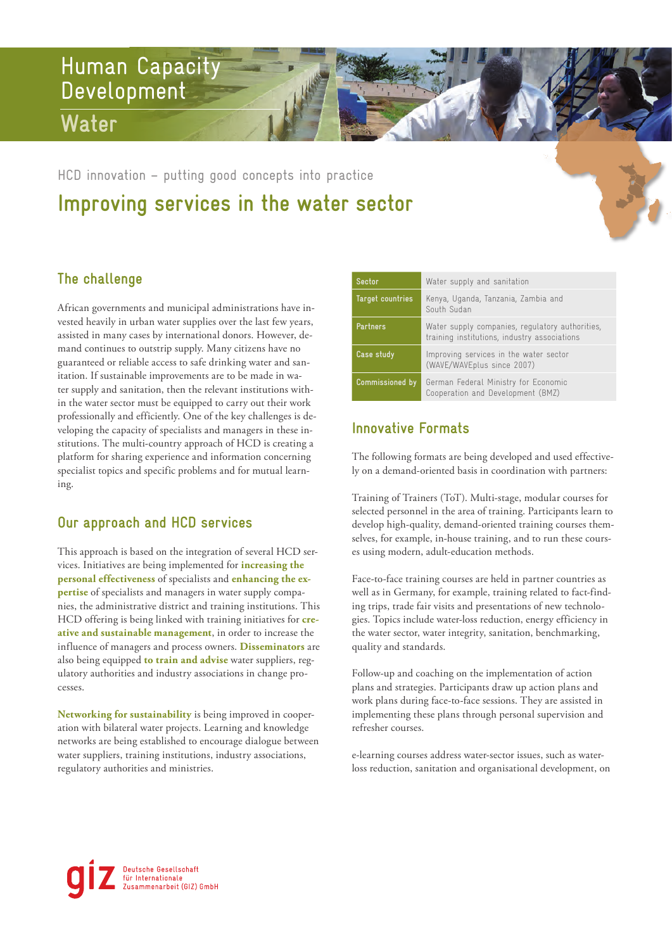# Human Capacity Development **Water**

**Improving services in the water sector**  HCD innovation – putting good concepts into practice

## **The challenge**

African governments and municipal administrations have invested heavily in urban water supplies over the last few years, assisted in many cases by international donors. However, demand continues to outstrip supply. Many citizens have no guaranteed or reliable access to safe drinking water and sanitation. If sustainable improvements are to be made in water supply and sanitation, then the relevant institutions within the water sector must be equipped to carry out their work professionally and efficiently. One of the key challenges is developing the capacity of specialists and managers in these institutions. The multi-country approach of HCD is creating a platform for sharing experience and information concerning specialist topics and specific problems and for mutual learning.

### **Our approach and HCD services**

This approach is based on the integration of several HCD services. Initiatives are being implemented for **increasing the personal effectiveness** of specialists and **enhancing the expertise** of specialists and managers in water supply companies, the administrative district and training institutions. This HCD offering is being linked with training initiatives for **creative and sustainable management**, in order to increase the influence of managers and process owners. **Disseminators** are also being equipped **to train and advise** water suppliers, regulatory authorities and industry associations in change processes.

**Networking for sustainability** is being improved in cooperation with bilateral water projects. Learning and knowledge networks are being established to encourage dialogue between water suppliers, training institutions, industry associations, regulatory authorities and ministries.

| Sector                 | Water supply and sanitation                                                                     |
|------------------------|-------------------------------------------------------------------------------------------------|
| Target countries       | Kenya, Uganda, Tanzania, Zambia and<br>South Sudan                                              |
| <b>Partners</b>        | Water supply companies, regulatory authorities,<br>training institutions, industry associations |
| Case study             | Improving services in the water sector<br>(WAVE/WAVEplus since 2007)                            |
| <b>Commissioned by</b> | German Federal Ministry for Economic<br>Cooperation and Development (BMZ)                       |

## **Innovative Formats**

The following formats are being developed and used effectively on a demand-oriented basis in coordination with partners:

Training of Trainers (ToT). Multi-stage, modular courses for selected personnel in the area of training. Participants learn to develop high-quality, demand-oriented training courses themselves, for example, in-house training, and to run these courses using modern, adult-education methods.

Face-to-face training courses are held in partner countries as well as in Germany, for example, training related to fact-finding trips, trade fair visits and presentations of new technologies. Topics include water-loss reduction, energy efficiency in the water sector, water integrity, sanitation, benchmarking, quality and standards.

Follow-up and coaching on the implementation of action plans and strategies. Participants draw up action plans and work plans during face-to-face sessions. They are assisted in implementing these plans through personal supervision and refresher courses.

e-learning courses address water-sector issues, such as waterloss reduction, sanitation and organisational development, on